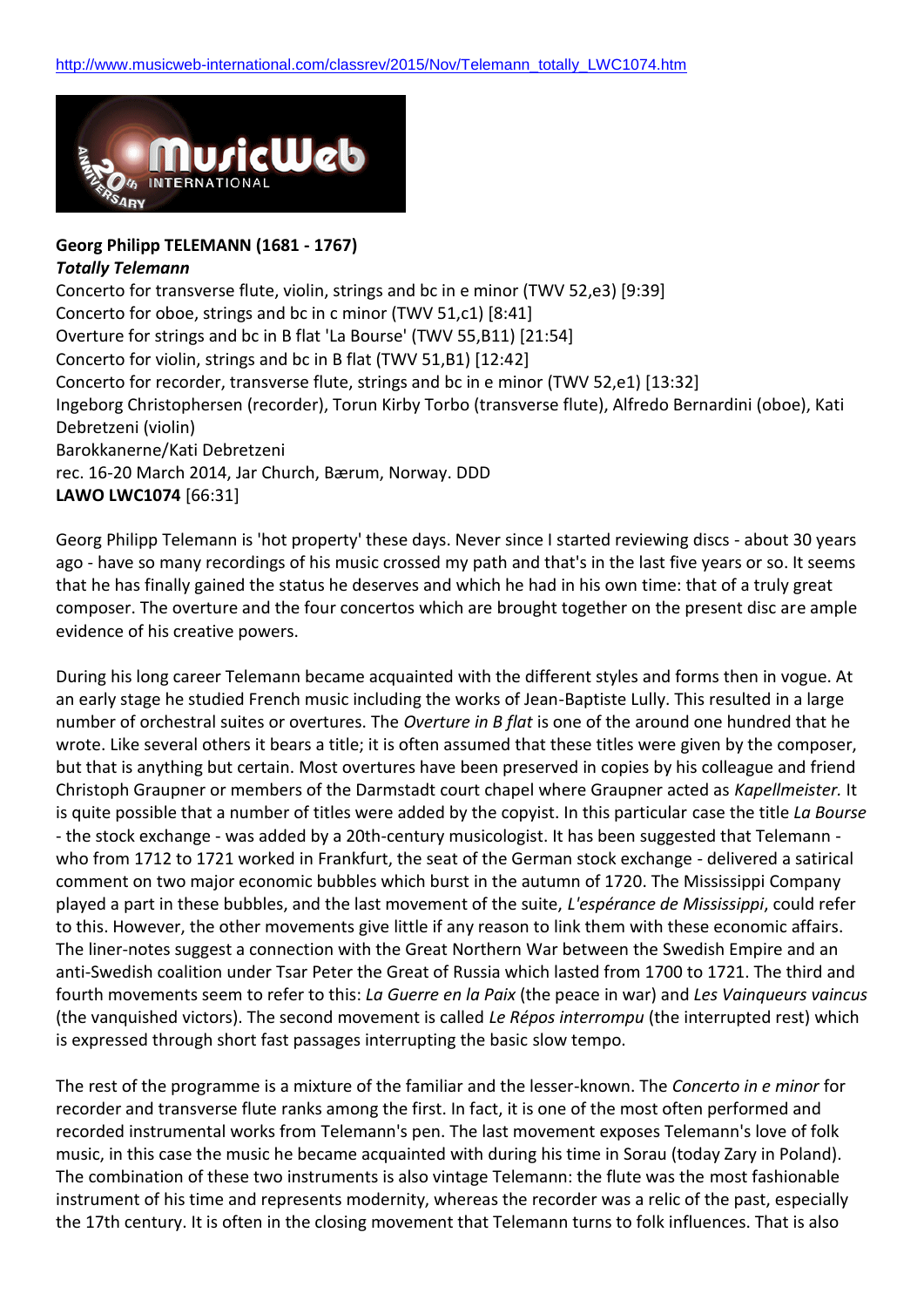

## **Georg Philipp TELEMANN (1681 - 1767)** *Totally Telemann*

Concerto for transverse flute, violin, strings and bc in e minor (TWV 52,e3) [9:39] Concerto for oboe, strings and bc in c minor (TWV 51,c1) [8:41] Overture for strings and bc in B flat 'La Bourse' (TWV 55,B11) [21:54] Concerto for violin, strings and bc in B flat (TWV 51,B1) [12:42] Concerto for recorder, transverse flute, strings and bc in e minor (TWV 52,e1) [13:32] Ingeborg Christophersen (recorder), Torun Kirby Torbo (transverse flute), Alfredo Bernardini (oboe), Kati Debretzeni (violin) Barokkanerne/Kati Debretzeni rec. 16-20 March 2014, Jar Church, Bærum, Norway. DDD **LAWO LWC1074** [66:31]

Georg Philipp Telemann is 'hot property' these days. Never since I started reviewing discs - about 30 years ago - have so many recordings of his music crossed my path and that's in the last five years or so. It seems that he has finally gained the status he deserves and which he had in his own time: that of a truly great composer. The overture and the four concertos which are brought together on the present disc are ample evidence of his creative powers.

During his long career Telemann became acquainted with the different styles and forms then in vogue. At an early stage he studied French music including the works of Jean-Baptiste Lully. This resulted in a large number of orchestral suites or overtures. The *Overture in B flat* is one of the around one hundred that he wrote. Like several others it bears a title; it is often assumed that these titles were given by the composer, but that is anything but certain. Most overtures have been preserved in copies by his colleague and friend Christoph Graupner or members of the Darmstadt court chapel where Graupner acted as *Kapellmeister.* It is quite possible that a number of titles were added by the copyist. In this particular case the title *La Bourse* - the stock exchange - was added by a 20th-century musicologist. It has been suggested that Telemann who from 1712 to 1721 worked in Frankfurt, the seat of the German stock exchange - delivered a satirical comment on two major economic bubbles which burst in the autumn of 1720. The Mississippi Company played a part in these bubbles, and the last movement of the suite, *L'espérance de Mississippi*, could refer to this. However, the other movements give little if any reason to link them with these economic affairs. The liner-notes suggest a connection with the Great Northern War between the Swedish Empire and an anti-Swedish coalition under Tsar Peter the Great of Russia which lasted from 1700 to 1721. The third and fourth movements seem to refer to this: *La Guerre en la Paix* (the peace in war) and *Les Vainqueurs vaincus* (the vanquished victors). The second movement is called *Le Répos interrompu* (the interrupted rest) which is expressed through short fast passages interrupting the basic slow tempo.

The rest of the programme is a mixture of the familiar and the lesser-known. The *Concerto in e minor* for recorder and transverse flute ranks among the first. In fact, it is one of the most often performed and recorded instrumental works from Telemann's pen. The last movement exposes Telemann's love of folk music, in this case the music he became acquainted with during his time in Sorau (today Zary in Poland). The combination of these two instruments is also vintage Telemann: the flute was the most fashionable instrument of his time and represents modernity, whereas the recorder was a relic of the past, especially the 17th century. It is often in the closing movement that Telemann turns to folk influences. That is also